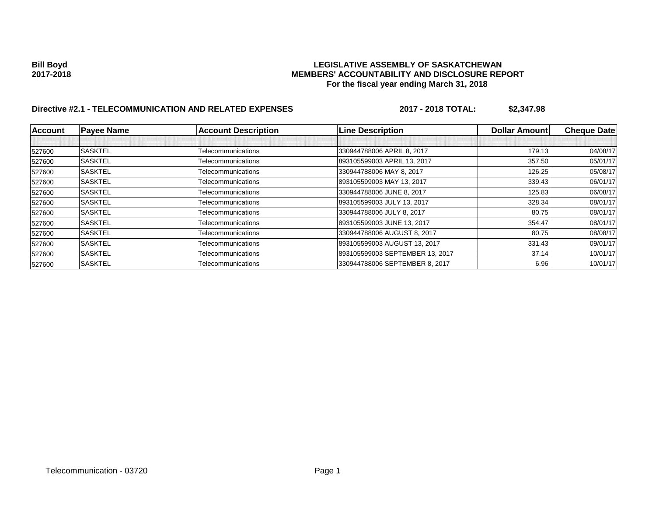## **Bill Boyd LEGISLATIVE ASSEMBLY OF SASKATCHEWAN 2017-2018 MEMBERS' ACCOUNTABILITY AND DISCLOSURE REPORT For the fiscal year ending March 31, 2018**

# **Directive #2.1 - TELECOMMUNICATION AND RELATED EXPENSES 2017 - 2018 TOTAL: \$2,347.98**

| <b>Account</b> | <b>Payee Name</b> | <b>Account Description</b> | <b>Line Description</b>         | <b>Dollar Amountl</b> | <b>Cheque Date</b> |
|----------------|-------------------|----------------------------|---------------------------------|-----------------------|--------------------|
|                |                   |                            |                                 |                       |                    |
| 527600         | <b>SASKTEL</b>    | Telecommunications         | 330944788006 APRIL 8, 2017      | 179.13                | 04/08/17           |
| 527600         | <b>SASKTEL</b>    | Telecommunications         | 893105599003 APRIL 13, 2017     | 357.50                | 05/01/17           |
| 527600         | <b>SASKTEL</b>    | Telecommunications         | 330944788006 MAY 8, 2017        | 126.25                | 05/08/17           |
| 527600         | <b>SASKTEL</b>    | Telecommunications         | 893105599003 MAY 13, 2017       | 339.43                | 06/01/17           |
| 527600         | <b>SASKTEL</b>    | Telecommunications         | 330944788006 JUNE 8, 2017       | 125.83                | 06/08/17           |
| 527600         | <b>SASKTEL</b>    | Telecommunications         | 893105599003 JULY 13, 2017      | 328.34                | 08/01/17           |
| 527600         | <b>SASKTEL</b>    | Telecommunications         | 330944788006 JULY 8, 2017       | 80.75                 | 08/01/17           |
| 527600         | <b>SASKTEL</b>    | Telecommunications         | 893105599003 JUNE 13, 2017      | 354.47                | 08/01/17           |
| 527600         | <b>SASKTEL</b>    | Telecommunications         | 330944788006 AUGUST 8, 2017     | 80.75                 | 08/08/17           |
| 527600         | <b>SASKTEL</b>    | Telecommunications         | 893105599003 AUGUST 13, 2017    | 331.43                | 09/01/17           |
| 527600         | <b>SASKTEL</b>    | Telecommunications         | 893105599003 SEPTEMBER 13, 2017 | 37.14                 | 10/01/17           |
| 527600         | <b>SASKTEL</b>    | Telecommunications         | 330944788006 SEPTEMBER 8, 2017  | 6.96                  | 10/01/17           |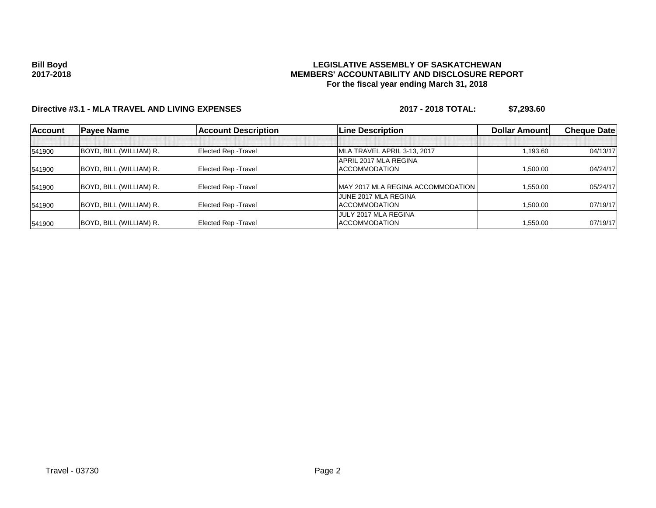### **Bill Boyd 2017-2018**

### **LEGISLATIVE ASSEMBLY OF SASKATCHEWAN MEMBERS' ACCOUNTABILITY AND DISCLOSURE REPORT For the fiscal year ending March 31, 2018**

## **Directive #3.1 - MLA TRAVEL AND LIVING EXPENSES 2017 - 2018 TOTAL: \$7,293.60**

| <b>Account</b> | <b>Payee Name</b>       | <b>Account Description</b>  | <b>Line Description</b>           | <b>Dollar Amountl</b> | <b>Cheque Datel</b> |
|----------------|-------------------------|-----------------------------|-----------------------------------|-----------------------|---------------------|
|                |                         |                             |                                   |                       |                     |
| 541900         | BOYD, BILL (WILLIAM) R. | <b>Elected Rep - Travel</b> | MLA TRAVEL APRIL 3-13, 2017       | 1.193.60              | 04/13/17            |
|                |                         |                             | APRIL 2017 MLA REGINA             |                       |                     |
| 541900         | BOYD, BILL (WILLIAM) R. | <b>Elected Rep - Travel</b> | <b>ACCOMMODATION</b>              | 1.500.00              | 04/24/17            |
| 541900         | BOYD, BILL (WILLIAM) R. | <b>Elected Rep - Travel</b> | MAY 2017 MLA REGINA ACCOMMODATION | 1.550.00              | 05/24/17            |
|                |                         |                             | JUNE 2017 MLA REGINA              |                       |                     |
| 541900         | BOYD, BILL (WILLIAM) R. | <b>Elected Rep - Travel</b> | <b>ACCOMMODATION</b>              | 1.500.00              | 07/19/17            |
|                |                         |                             | JULY 2017 MLA REGINA              |                       |                     |
| 541900         | BOYD, BILL (WILLIAM) R. | <b>Elected Rep - Travel</b> | <b>ACCOMMODATION</b>              | 550.00. 1             | 07/19/17            |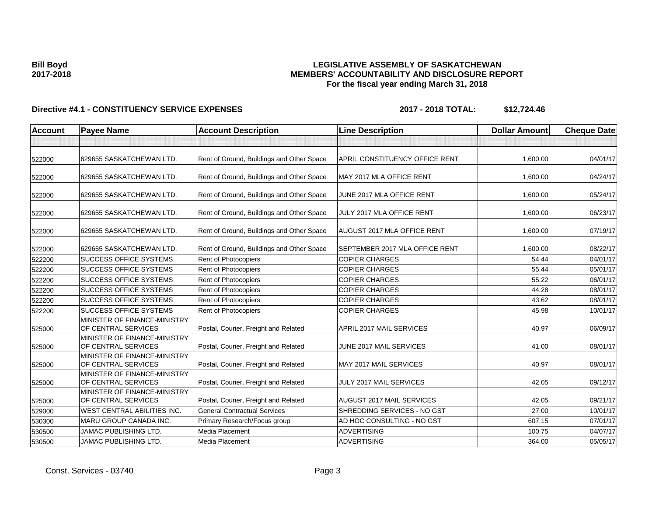### **Bill Boyd 2017-2018**

### **LEGISLATIVE ASSEMBLY OF SASKATCHEWAN MEMBERS' ACCOUNTABILITY AND DISCLOSURE REPORT For the fiscal year ending March 31, 2018**

## **Directive #4.1 - CONSTITUENCY SERVICE EXPENSES 2017 - 2018 TOTAL: \$12,724.46**

| Account | <b>Payee Name</b>                                   | <b>Account Description</b>                | <b>Line Description</b>            | <b>Dollar Amount</b> | <b>Cheque Date</b> |
|---------|-----------------------------------------------------|-------------------------------------------|------------------------------------|----------------------|--------------------|
|         |                                                     |                                           |                                    |                      |                    |
| 522000  | 629655 SASKATCHEWAN LTD.                            | Rent of Ground, Buildings and Other Space | APRIL CONSTITUENCY OFFICE RENT     | 1,600.00             | 04/01/17           |
| 522000  | 629655 SASKATCHEWAN LTD.                            | Rent of Ground, Buildings and Other Space | MAY 2017 MLA OFFICE RENT           | 1,600.00             | 04/24/17           |
| 522000  | 629655 SASKATCHEWAN LTD.                            | Rent of Ground, Buildings and Other Space | JUNE 2017 MLA OFFICE RENT          | 1,600.00             | 05/24/17           |
| 522000  | 629655 SASKATCHEWAN LTD.                            | Rent of Ground, Buildings and Other Space | JULY 2017 MLA OFFICE RENT          | 1,600.00             | 06/23/17           |
| 522000  | 629655 SASKATCHEWAN LTD.                            | Rent of Ground, Buildings and Other Space | <b>AUGUST 2017 MLA OFFICE RENT</b> | 1,600.00             | 07/19/17           |
| 522000  | 629655 SASKATCHEWAN LTD.                            | Rent of Ground, Buildings and Other Space | SEPTEMBER 2017 MLA OFFICE RENT     | 1,600.00             | 08/22/17           |
| 522200  | <b>SUCCESS OFFICE SYSTEMS</b>                       | <b>Rent of Photocopiers</b>               | <b>COPIER CHARGES</b>              | 54.44                | 04/01/17           |
| 522200  | <b>SUCCESS OFFICE SYSTEMS</b>                       | <b>Rent of Photocopiers</b>               | <b>COPIER CHARGES</b>              | 55.44                | 05/01/17           |
| 522200  | <b>SUCCESS OFFICE SYSTEMS</b>                       | Rent of Photocopiers                      | <b>COPIER CHARGES</b>              | 55.22                | 06/01/17           |
| 522200  | <b>SUCCESS OFFICE SYSTEMS</b>                       | <b>Rent of Photocopiers</b>               | <b>COPIER CHARGES</b>              | 44.28                | 08/01/17           |
| 522200  | <b>SUCCESS OFFICE SYSTEMS</b>                       | <b>Rent of Photocopiers</b>               | <b>COPIER CHARGES</b>              | 43.62                | 08/01/17           |
| 522200  | <b>SUCCESS OFFICE SYSTEMS</b>                       | Rent of Photocopiers                      | <b>COPIER CHARGES</b>              | 45.98                | 10/01/17           |
| 525000  | MINISTER OF FINANCE-MINISTRY<br>OF CENTRAL SERVICES | Postal, Courier, Freight and Related      | APRIL 2017 MAIL SERVICES           | 40.97                | 06/09/17           |
| 525000  | MINISTER OF FINANCE-MINISTRY<br>OF CENTRAL SERVICES | Postal, Courier, Freight and Related      | JUNE 2017 MAIL SERVICES            | 41.00                | 08/01/17           |
| 525000  | MINISTER OF FINANCE-MINISTRY<br>OF CENTRAL SERVICES | Postal, Courier, Freight and Related      | MAY 2017 MAIL SERVICES             | 40.97                | 08/01/17           |
| 525000  | MINISTER OF FINANCE-MINISTRY<br>OF CENTRAL SERVICES | Postal, Courier, Freight and Related      | JULY 2017 MAIL SERVICES            | 42.05                | 09/12/17           |
| 525000  | MINISTER OF FINANCE-MINISTRY<br>OF CENTRAL SERVICES | Postal, Courier, Freight and Related      | AUGUST 2017 MAIL SERVICES          | 42.05                | 09/21/17           |
| 529000  | <b>WEST CENTRAL ABILITIES INC.</b>                  | <b>General Contractual Services</b>       | SHREDDING SERVICES - NO GST        | 27.00                | 10/01/17           |
| 530300  | MARU GROUP CANADA INC.                              | Primary Research/Focus group              | AD HOC CONSULTING - NO GST         | 607.15               | 07/01/17           |
| 530500  | <b>JAMAC PUBLISHING LTD.</b>                        | <b>Media Placement</b>                    | <b>ADVERTISING</b>                 | 100.75               | 04/07/17           |
| 530500  | <b>JAMAC PUBLISHING LTD.</b>                        | Media Placement                           | <b>ADVERTISING</b>                 | 364.00               | 05/05/17           |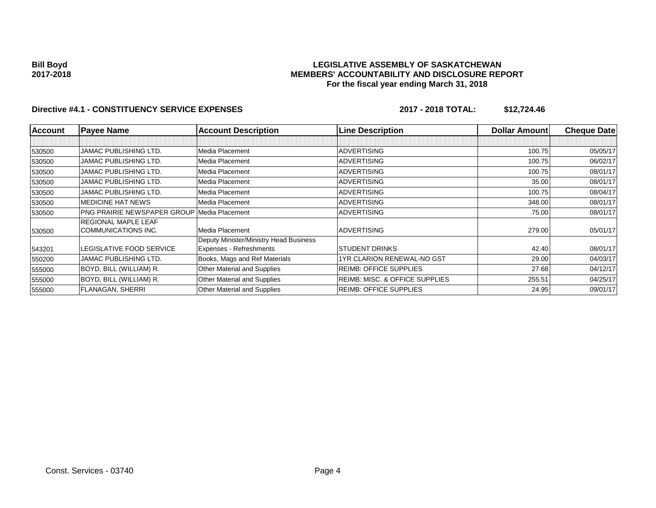### **Bill Boyd 2017-2018**

### **LEGISLATIVE ASSEMBLY OF SASKATCHEWAN MEMBERS' ACCOUNTABILITY AND DISCLOSURE REPORT For the fiscal year ending March 31, 2018**

## **Directive #4.1 - CONSTITUENCY SERVICE EXPENSES 2017 - 2018 TOTAL: \$12,724.46**

| <b>Account</b> | <b>Payee Name</b>                  | <b>Account Description</b>             | <b>Line Description</b>                   | <b>Dollar Amountl</b> | <b>Cheque Datel</b> |
|----------------|------------------------------------|----------------------------------------|-------------------------------------------|-----------------------|---------------------|
|                |                                    |                                        |                                           |                       |                     |
| 530500         | <b>JAMAC PUBLISHING LTD.</b>       | Media Placement                        | <b>ADVERTISING</b>                        | 100.75                | 05/05/17            |
| 530500         | <b>JAMAC PUBLISHING LTD.</b>       | Media Placement                        | <b>ADVERTISING</b>                        | 100.75                | 06/02/17            |
| 530500         | <b>JAMAC PUBLISHING LTD.</b>       | Media Placement                        | <b>ADVERTISING</b>                        | 100.75                | 08/01/17            |
| 530500         | <b>JAMAC PUBLISHING LTD.</b>       | Media Placement                        | <b>ADVERTISING</b>                        | 35.00                 | 08/01/17            |
| 530500         | <b>JAMAC PUBLISHING LTD.</b>       | Media Placement                        | <b>ADVERTISING</b>                        | 100.75                | 08/04/17            |
| 530500         | <b>MEDICINE HAT NEWS</b>           | Media Placement                        | <b>ADVERTISING</b>                        | 348.00                | 08/01/17            |
| 530500         | <b>PNG PRAIRIE NEWSPAPER GROUP</b> | Media Placement                        | <b>ADVERTISING</b>                        | 75.00                 | 08/01/17            |
|                | <b>REGIONAL MAPLE LEAF</b>         |                                        |                                           |                       |                     |
| 530500         | COMMUNICATIONS INC.                | Media Placement                        | <b>ADVERTISING</b>                        | 279.00                | 05/01/17            |
|                |                                    | Deputy Minister/Ministry Head Business |                                           |                       |                     |
| 543201         | LEGISLATIVE FOOD SERVICE           | Expenses - Refreshments                | <b>STUDENT DRINKS</b>                     | 42.40                 | 08/01/17            |
| 550200         | <b>JAMAC PUBLISHING LTD.</b>       | Books, Mags and Ref Materials          | <b>1YR CLARION RENEWAL-NO GST</b>         | 29.00                 | 04/03/17            |
| 555000         | BOYD, BILL (WILLIAM) R.            | Other Material and Supplies            | <b>REIMB: OFFICE SUPPLIES</b>             | 27.68                 | 04/12/17            |
| 555000         | BOYD, BILL (WILLIAM) R.            | Other Material and Supplies            | <b>REIMB: MISC. &amp; OFFICE SUPPLIES</b> | 255.51                | 04/25/17            |
| 555000         | <b>FLANAGAN, SHERRI</b>            | Other Material and Supplies            | <b>REIMB: OFFICE SUPPLIES</b>             | 24.95                 | 09/01/17            |